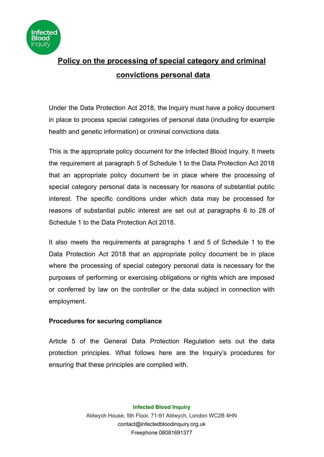

# **Policy on the processing of special category and criminal convictions personal data**

Under the Data Protection Act 2018, the Inquiry must have a policy document in place to process special categories of personal data (including for example health and genetic information) or criminal convictions data.

This is the appropriate policy document for the Infected Blood Inquiry. It meets the requirement at paragraph 5 of Schedule 1 to the Data Protection Act 2018 that an appropriate policy document be in place where the processing of special category personal data is necessary for reasons of substantial public interest. The specific conditions under which data may be processed for reasons of substantial public interest are set out at paragraphs 6 to 28 of Schedule 1 to the Data Protection Act 2018.

It also meets the requirements at paragraphs 1 and 5 of Schedule 1 to the Data Protection Act 2018 that an appropriate policy document be in place where the processing of special category personal data is necessary for the purposes of performing or exercising obligations or rights which are imposed or conferred by law on the controller or the data subject in connection with employment.

### **Procedures for securing compliance**

Article 5 of the General Data Protection Regulation sets out the data protection principles. What follows here are the Inquiry's procedures for ensuring that these principles are complied with.

> **Infected Blood Inquiry** Aldwych House, 5th Floor, 71-91 Aldwych, London WC2B 4HN contact@infectedbloodinquiry.org.uk Freephone 08081691377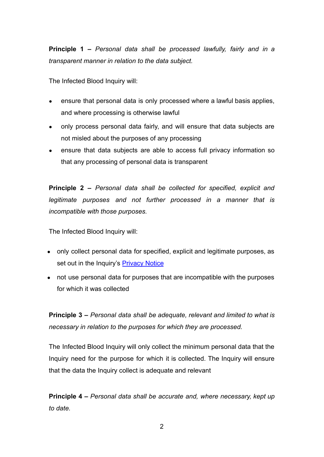**Principle 1 –** *Personal data shall be processed lawfully, fairly and in a transparent manner in relation to the data subject.*

The Infected Blood Inquiry will:

- ensure that personal data is only processed where a lawful basis applies, and where processing is otherwise lawful
- only process personal data fairly, and will ensure that data subjects are not misled about the purposes of any processing
- ensure that data subjects are able to access full privacy information so that any processing of personal data is transparent

**Principle 2 –** *Personal data shall be collected for specified, explicit and legitimate purposes and not further processed in a manner that is incompatible with those purposes.*

The Infected Blood Inquiry will:

- only collect personal data for specified, explicit and legitimate purposes, as set out in the Inquiry's **[Privacy Notice](https://www.infectedbloodinquiry.org.uk/privacy-notice/)**
- not use personal data for purposes that are incompatible with the purposes for which it was collected

**Principle 3 –** *Personal data shall be adequate, relevant and limited to what is necessary in relation to the purposes for which they are processed.*

The Infected Blood Inquiry will only collect the minimum personal data that the Inquiry need for the purpose for which it is collected. The Inquiry will ensure that the data the Inquiry collect is adequate and relevant

**Principle 4 –** *Personal data shall be accurate and, where necessary, kept up to date.*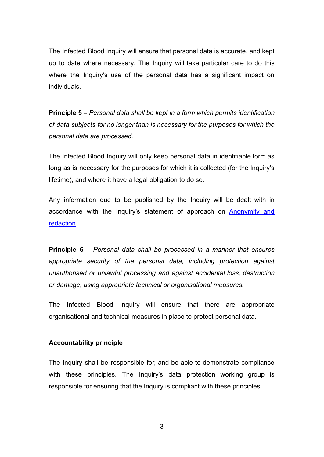The Infected Blood Inquiry will ensure that personal data is accurate, and kept up to date where necessary. The Inquiry will take particular care to do this where the Inquiry's use of the personal data has a significant impact on individuals.

**Principle 5 –** *Personal data shall be kept in a form which permits identification of data subjects for no longer than is necessary for the purposes for which the personal data are processed.*

The Infected Blood Inquiry will only keep personal data in identifiable form as long as is necessary for the purposes for which it is collected (for the Inquiry's lifetime), and where it have a legal obligation to do so.

Any information due to be published by the Inquiry will be dealt with in accordance with the Inquiry's statement of approach on [Anonymity](https://www.infectedbloodinquiry.org.uk/statements-of-approach/) and [redaction](https://www.infectedbloodinquiry.org.uk/statements-of-approach/).

**Principle 6 –** *Personal data shall be processed in a manner that ensures appropriate security of the personal data, including protection against unauthorised or unlawful processing and against accidental loss, destruction or damage, using appropriate technical or organisational measures.*

The Infected Blood Inquiry will ensure that there are appropriate organisational and technical measures in place to protect personal data.

#### **Accountability principle**

The Inquiry shall be responsible for, and be able to demonstrate compliance with these principles. The Inquiry's data protection working group is responsible for ensuring that the Inquiry is compliant with these principles.

3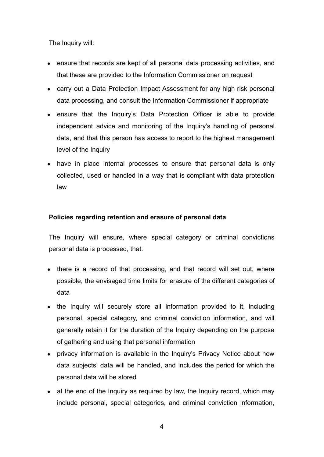The Inquiry will:

- ensure that records are kept of all personal data processing activities, and that these are provided to the Information Commissioner on request
- carry out a Data Protection Impact Assessment for any high risk personal data processing, and consult the Information Commissioner if appropriate
- ensure that the Inquiry's Data Protection Officer is able to provide independent advice and monitoring of the Inquiry's handling of personal data, and that this person has access to report to the highest management level of the Inquiry
- have in place internal processes to ensure that personal data is only collected, used or handled in a way that is compliant with data protection law

### **Policies regarding retention and erasure of personal data**

The Inquiry will ensure, where special category or criminal convictions personal data is processed, that:

- there is a record of that processing, and that record will set out, where possible, the envisaged time limits for erasure of the different categories of data
- the Inquiry will securely store all information provided to it, including personal, special category, and criminal conviction information, and will generally retain it for the duration of the Inquiry depending on the purpose of gathering and using that personal information
- privacy information is available in the Inquiry's Privacy Notice about how data subjects' data will be handled, and includes the period for which the personal data will be stored
- at the end of the Inquiry as required by law, the Inquiry record, which may include personal, special categories, and criminal conviction information,